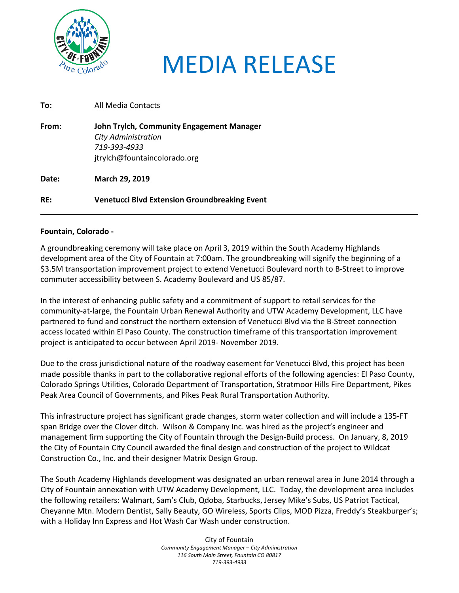

## MEDIA RELEASE

| To:   | All Media Contacts                                                                                                      |
|-------|-------------------------------------------------------------------------------------------------------------------------|
| From: | John Trylch, Community Engagement Manager<br><b>City Administration</b><br>719-393-4933<br>jtrylch@fountaincolorado.org |
| Date: | March 29, 2019                                                                                                          |
| RE:   | <b>Venetucci Blvd Extension Groundbreaking Event</b>                                                                    |

## **Fountain, Colorado -**

A groundbreaking ceremony will take place on April 3, 2019 within the South Academy Highlands development area of the City of Fountain at 7:00am. The groundbreaking will signify the beginning of a \$3.5M transportation improvement project to extend Venetucci Boulevard north to B-Street to improve commuter accessibility between S. Academy Boulevard and US 85/87.

In the interest of enhancing public safety and a commitment of support to retail services for the community-at-large, the Fountain Urban Renewal Authority and UTW Academy Development, LLC have partnered to fund and construct the northern extension of Venetucci Blvd via the B-Street connection access located within El Paso County. The construction timeframe of this transportation improvement project is anticipated to occur between April 2019- November 2019.

Due to the cross jurisdictional nature of the roadway easement for Venetucci Blvd, this project has been made possible thanks in part to the collaborative regional efforts of the following agencies: El Paso County, Colorado Springs Utilities, Colorado Department of Transportation, Stratmoor Hills Fire Department, Pikes Peak Area Council of Governments, and Pikes Peak Rural Transportation Authority.

This infrastructure project has significant grade changes, storm water collection and will include a 135-FT span Bridge over the Clover ditch. Wilson & Company Inc. was hired as the project's engineer and management firm supporting the City of Fountain through the Design-Build process. On January, 8, 2019 the City of Fountain City Council awarded the final design and construction of the project to Wildcat Construction Co., Inc. and their designer Matrix Design Group.

The South Academy Highlands development was designated an urban renewal area in June 2014 through a City of Fountain annexation with UTW Academy Development, LLC. Today, the development area includes the following retailers: Walmart, Sam's Club, Qdoba, Starbucks, Jersey Mike's Subs, US Patriot Tactical, Cheyanne Mtn. Modern Dentist, Sally Beauty, GO Wireless, Sports Clips, MOD Pizza, Freddy's Steakburger's; with a Holiday Inn Express and Hot Wash Car Wash under construction.